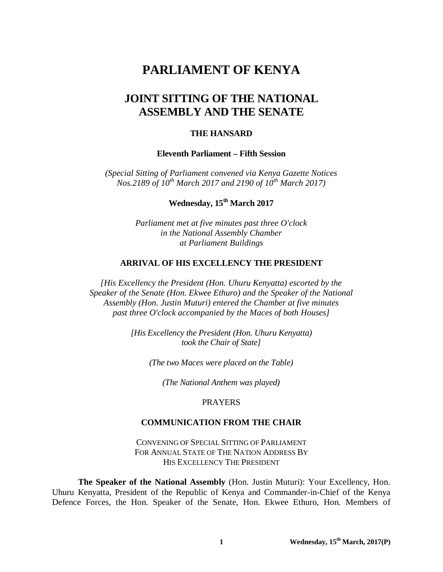# **PARLIAMENT OF KENYA**

# **JOINT SITTING OF THE NATIONAL ASSEMBLY AND THE SENATE**

#### **THE HANSARD**

### **Eleventh Parliament – Fifth Session**

*(Special Sitting of Parliament convened via Kenya Gazette Notices Nos.2189 of 10th March 2017 and 2190 of 10th March 2017)*

**Wednesday, 15th March 2017**

*Parliament met at five minutes past three O'clock in the National Assembly Chamber at Parliament Buildings*

# **ARRIVAL OF HIS EXCELLENCY THE PRESIDENT**

*[His Excellency the President (Hon. Uhuru Kenyatta) escorted by the Speaker of the Senate (Hon. Ekwee Ethuro) and the Speaker of the National Assembly (Hon. Justin Muturi) entered the Chamber at five minutes past three O'clock accompanied by the Maces of both Houses]*

> *[His Excellency the President (Hon. Uhuru Kenyatta) took the Chair of State]*

> > *(The two Maces were placed on the Table)*

*(The National Anthem was played)*

#### PRAYERS

# **COMMUNICATION FROM THE CHAIR**

CONVENING OF SPECIAL SITTING OF PARLIAMENT FOR ANNUAL STATE OF THE NATION ADDRESS BY HIS EXCELLENCY THE PRESIDENT

**The Speaker of the National Assembly** (Hon. Justin Muturi): Your Excellency, Hon. Uhuru Kenyatta, President of the Republic of Kenya and Commander-in-Chief of the Kenya Defence Forces, the Hon. Speaker of the Senate, Hon. Ekwee Ethuro, Hon. Members of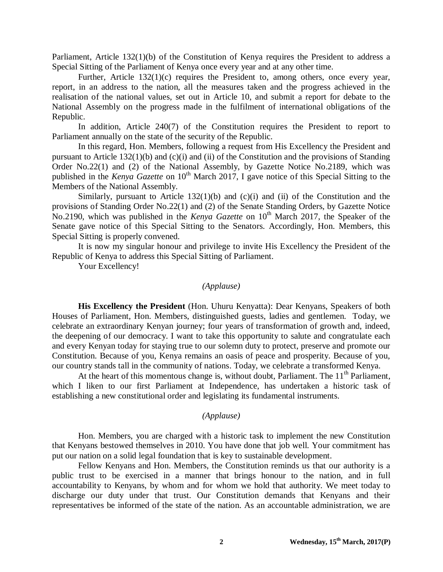Parliament, Article 132(1)(b) of the Constitution of Kenya requires the President to address a Special Sitting of the Parliament of Kenya once every year and at any other time.

Further, Article 132(1)(c) requires the President to, among others, once every year, report, in an address to the nation, all the measures taken and the progress achieved in the realisation of the national values, set out in Article 10, and submit a report for debate to the National Assembly on the progress made in the fulfilment of international obligations of the Republic.

In addition, Article 240(7) of the Constitution requires the President to report to Parliament annually on the state of the security of the Republic.

In this regard, Hon. Members, following a request from His Excellency the President and pursuant to Article 132(1)(b) and (c)(i) and (ii) of the Constitution and the provisions of Standing Order No.22(1) and (2) of the National Assembly, by Gazette Notice No.2189, which was published in the *Kenya Gazette* on 10<sup>th</sup> March 2017, I gave notice of this Special Sitting to the Members of the National Assembly.

Similarly, pursuant to Article  $132(1)(b)$  and  $(c)(i)$  and  $(ii)$  of the Constitution and the provisions of Standing Order No.22(1) and (2) of the Senate Standing Orders, by Gazette Notice No.2190, which was published in the *Kenya Gazette* on 10<sup>th</sup> March 2017, the Speaker of the Senate gave notice of this Special Sitting to the Senators. Accordingly, Hon. Members, this Special Sitting is properly convened.

It is now my singular honour and privilege to invite His Excellency the President of the Republic of Kenya to address this Special Sitting of Parliament.

Your Excellency!

## *(Applause)*

**His Excellency the President** (Hon. Uhuru Kenyatta): Dear Kenyans, Speakers of both Houses of Parliament, Hon. Members, distinguished guests, ladies and gentlemen. Today, we celebrate an extraordinary Kenyan journey; four years of transformation of growth and, indeed, the deepening of our democracy. I want to take this opportunity to salute and congratulate each and every Kenyan today for staying true to our solemn duty to protect, preserve and promote our Constitution. Because of you, Kenya remains an oasis of peace and prosperity. Because of you, our country stands tall in the community of nations. Today, we celebrate a transformed Kenya.

At the heart of this momentous change is, without doubt, Parliament. The  $11<sup>th</sup>$  Parliament, which I liken to our first Parliament at Independence, has undertaken a historic task of establishing a new constitutional order and legislating its fundamental instruments.

#### *(Applause)*

Hon. Members, you are charged with a historic task to implement the new Constitution that Kenyans bestowed themselves in 2010. You have done that job well. Your commitment has put our nation on a solid legal foundation that is key to sustainable development.

Fellow Kenyans and Hon. Members, the Constitution reminds us that our authority is a public trust to be exercised in a manner that brings honour to the nation, and in full accountability to Kenyans, by whom and for whom we hold that authority. We meet today to discharge our duty under that trust. Our Constitution demands that Kenyans and their representatives be informed of the state of the nation. As an accountable administration, we are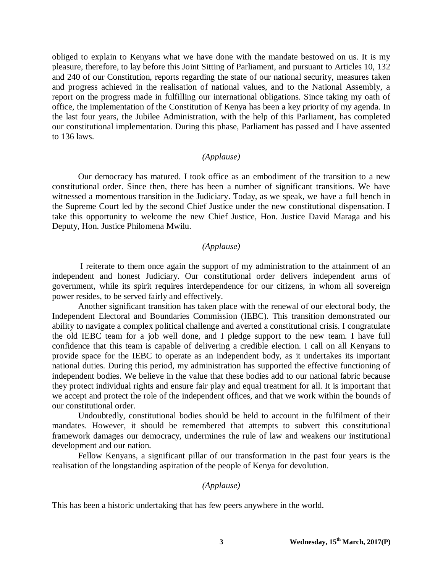obliged to explain to Kenyans what we have done with the mandate bestowed on us. It is my pleasure, therefore, to lay before this Joint Sitting of Parliament, and pursuant to Articles 10, 132 and 240 of our Constitution, reports regarding the state of our national security, measures taken and progress achieved in the realisation of national values, and to the National Assembly, a report on the progress made in fulfilling our international obligations. Since taking my oath of office, the implementation of the Constitution of Kenya has been a key priority of my agenda. In the last four years, the Jubilee Administration, with the help of this Parliament, has completed our constitutional implementation. During this phase, Parliament has passed and I have assented to 136 laws.

## *(Applause)*

Our democracy has matured. I took office as an embodiment of the transition to a new constitutional order. Since then, there has been a number of significant transitions. We have witnessed a momentous transition in the Judiciary. Today, as we speak, we have a full bench in the Supreme Court led by the second Chief Justice under the new constitutional dispensation. I take this opportunity to welcome the new Chief Justice, Hon. Justice David Maraga and his Deputy, Hon. Justice Philomena Mwilu.

## *(Applause)*

I reiterate to them once again the support of my administration to the attainment of an independent and honest Judiciary. Our constitutional order delivers independent arms of government, while its spirit requires interdependence for our citizens, in whom all sovereign power resides, to be served fairly and effectively.

Another significant transition has taken place with the renewal of our electoral body, the Independent Electoral and Boundaries Commission (IEBC). This transition demonstrated our ability to navigate a complex political challenge and averted a constitutional crisis. I congratulate the old IEBC team for a job well done, and I pledge support to the new team. I have full confidence that this team is capable of delivering a credible election. I call on all Kenyans to provide space for the IEBC to operate as an independent body, as it undertakes its important national duties. During this period, my administration has supported the effective functioning of independent bodies. We believe in the value that these bodies add to our national fabric because they protect individual rights and ensure fair play and equal treatment for all. It is important that we accept and protect the role of the independent offices, and that we work within the bounds of our constitutional order.

Undoubtedly, constitutional bodies should be held to account in the fulfilment of their mandates. However, it should be remembered that attempts to subvert this constitutional framework damages our democracy, undermines the rule of law and weakens our institutional development and our nation.

Fellow Kenyans, a significant pillar of our transformation in the past four years is the realisation of the longstanding aspiration of the people of Kenya for devolution.

# *(Applause)*

This has been a historic undertaking that has few peers anywhere in the world.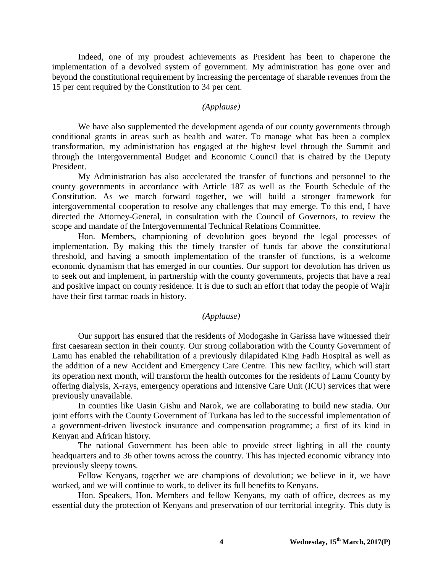Indeed, one of my proudest achievements as President has been to chaperone the implementation of a devolved system of government. My administration has gone over and beyond the constitutional requirement by increasing the percentage of sharable revenues from the 15 per cent required by the Constitution to 34 per cent.

## *(Applause)*

We have also supplemented the development agenda of our county governments through conditional grants in areas such as health and water. To manage what has been a complex transformation, my administration has engaged at the highest level through the Summit and through the Intergovernmental Budget and Economic Council that is chaired by the Deputy President.

My Administration has also accelerated the transfer of functions and personnel to the county governments in accordance with Article 187 as well as the Fourth Schedule of the Constitution. As we march forward together, we will build a stronger framework for intergovernmental cooperation to resolve any challenges that may emerge. To this end, I have directed the Attorney-General, in consultation with the Council of Governors, to review the scope and mandate of the Intergovernmental Technical Relations Committee.

Hon. Members, championing of devolution goes beyond the legal processes of implementation. By making this the timely transfer of funds far above the constitutional threshold, and having a smooth implementation of the transfer of functions, is a welcome economic dynamism that has emerged in our counties. Our support for devolution has driven us to seek out and implement, in partnership with the county governments, projects that have a real and positive impact on county residence. It is due to such an effort that today the people of Wajir have their first tarmac roads in history.

### *(Applause)*

Our support has ensured that the residents of Modogashe in Garissa have witnessed their first caesarean section in their county. Our strong collaboration with the County Government of Lamu has enabled the rehabilitation of a previously dilapidated King Fadh Hospital as well as the addition of a new Accident and Emergency Care Centre. This new facility, which will start its operation next month, will transform the health outcomes for the residents of Lamu County by offering dialysis, X-rays, emergency operations and Intensive Care Unit (ICU) services that were previously unavailable.

In counties like Uasin Gishu and Narok, we are collaborating to build new stadia. Our joint efforts with the County Government of Turkana has led to the successful implementation of a government-driven livestock insurance and compensation programme; a first of its kind in Kenyan and African history.

The national Government has been able to provide street lighting in all the county headquarters and to 36 other towns across the country. This has injected economic vibrancy into previously sleepy towns.

Fellow Kenyans, together we are champions of devolution; we believe in it, we have worked, and we will continue to work, to deliver its full benefits to Kenyans.

Hon. Speakers, Hon. Members and fellow Kenyans, my oath of office, decrees as my essential duty the protection of Kenyans and preservation of our territorial integrity. This duty is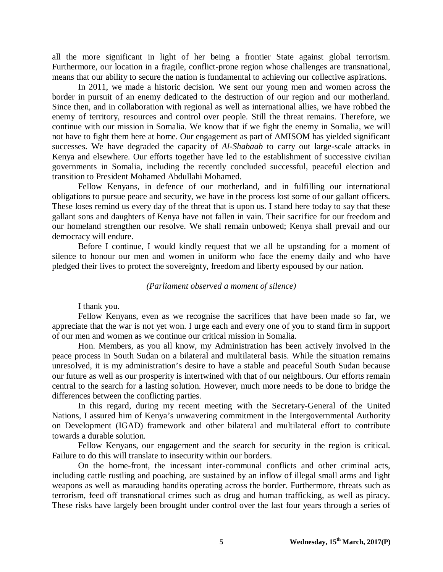all the more significant in light of her being a frontier State against global terrorism. Furthermore, our location in a fragile, conflict-prone region whose challenges are transnational, means that our ability to secure the nation is fundamental to achieving our collective aspirations.

In 2011, we made a historic decision. We sent our young men and women across the border in pursuit of an enemy dedicated to the destruction of our region and our motherland. Since then, and in collaboration with regional as well as international allies, we have robbed the enemy of territory, resources and control over people. Still the threat remains. Therefore, we continue with our mission in Somalia. We know that if we fight the enemy in Somalia, we will not have to fight them here at home. Our engagement as part of AMISOM has yielded significant successes. We have degraded the capacity of *Al-Shabaab* to carry out large-scale attacks in Kenya and elsewhere. Our efforts together have led to the establishment of successive civilian governments in Somalia, including the recently concluded successful, peaceful election and transition to President Mohamed Abdullahi Mohamed.

Fellow Kenyans, in defence of our motherland, and in fulfilling our international obligations to pursue peace and security, we have in the process lost some of our gallant officers. These loses remind us every day of the threat that is upon us. I stand here today to say that these gallant sons and daughters of Kenya have not fallen in vain. Their sacrifice for our freedom and our homeland strengthen our resolve. We shall remain unbowed; Kenya shall prevail and our democracy will endure.

Before I continue, I would kindly request that we all be upstanding for a moment of silence to honour our men and women in uniform who face the enemy daily and who have pledged their lives to protect the sovereignty, freedom and liberty espoused by our nation.

## *(Parliament observed a moment of silence)*

I thank you.

Fellow Kenyans, even as we recognise the sacrifices that have been made so far, we appreciate that the war is not yet won. I urge each and every one of you to stand firm in support of our men and women as we continue our critical mission in Somalia.

Hon. Members, as you all know, my Administration has been actively involved in the peace process in South Sudan on a bilateral and multilateral basis. While the situation remains unresolved, it is my administration's desire to have a stable and peaceful South Sudan because our future as well as our prosperity is intertwined with that of our neighbours. Our efforts remain central to the search for a lasting solution. However, much more needs to be done to bridge the differences between the conflicting parties.

In this regard, during my recent meeting with the Secretary-General of the United Nations, I assured him of Kenya's unwavering commitment in the Intergovernmental Authority on Development (IGAD) framework and other bilateral and multilateral effort to contribute towards a durable solution.

Fellow Kenyans, our engagement and the search for security in the region is critical. Failure to do this will translate to insecurity within our borders.

On the home-front, the incessant inter-communal conflicts and other criminal acts, including cattle rustling and poaching, are sustained by an inflow of illegal small arms and light weapons as well as marauding bandits operating across the border. Furthermore, threats such as terrorism, feed off transnational crimes such as drug and human trafficking, as well as piracy. These risks have largely been brought under control over the last four years through a series of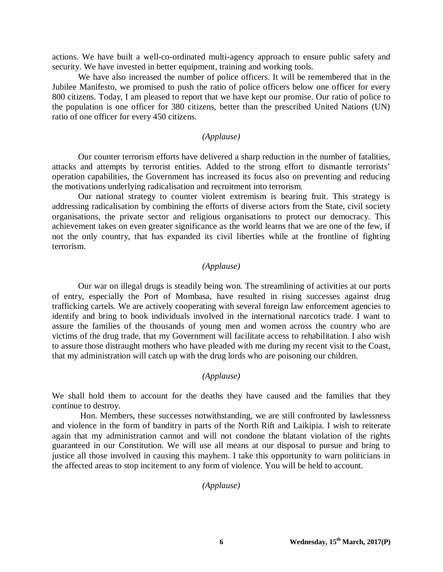actions. We have built a well-co-ordinated multi-agency approach to ensure public safety and security. We have invested in better equipment, training and working tools.

We have also increased the number of police officers. It will be remembered that in the Jubilee Manifesto, we promised to push the ratio of police officers below one officer for every 800 citizens. Today, I am pleased to report that we have kept our promise. Our ratio of police to the population is one officer for 380 citizens, better than the prescribed United Nations (UN) ratio of one officer for every 450 citizens.

# *(Applause)*

Our counter terrorism efforts have delivered a sharp reduction in the number of fatalities, attacks and attempts by terrorist entities. Added to the strong effort to dismantle terrorists' operation capabilities, the Government has increased its focus also on preventing and reducing the motivations underlying radicalisation and recruitment into terrorism.

Our national strategy to counter violent extremism is bearing fruit. This strategy is addressing radicalisation by combining the efforts of diverse actors from the State, civil society organisations, the private sector and religious organisations to protect our democracy. This achievement takes on even greater significance as the world learns that we are one of the few, if not the only country, that has expanded its civil liberties while at the frontline of fighting terrorism.

# *(Applause)*

Our war on illegal drugs is steadily being won. The streamlining of activities at our ports of entry, especially the Port of Mombasa, have resulted in rising successes against drug trafficking cartels. We are actively cooperating with several foreign law enforcement agencies to identify and bring to book individuals involved in the international narcotics trade. I want to assure the families of the thousands of young men and women across the country who are victims of the drug trade, that my Government will facilitate access to rehabilitation. I also wish to assure those distraught mothers who have pleaded with me during my recent visit to the Coast, that my administration will catch up with the drug lords who are poisoning our children.

## *(Applause)*

We shall hold them to account for the deaths they have caused and the families that they continue to destroy.

Hon. Members, these successes notwithstanding, we are still confronted by lawlessness and violence in the form of banditry in parts of the North Rift and Laikipia. I wish to reiterate again that my administration cannot and will not condone the blatant violation of the rights guaranteed in our Constitution. We will use all means at our disposal to pursue and bring to justice all those involved in causing this mayhem. I take this opportunity to warn politicians in the affected areas to stop incitement to any form of violence. You will be held to account.

*(Applause)*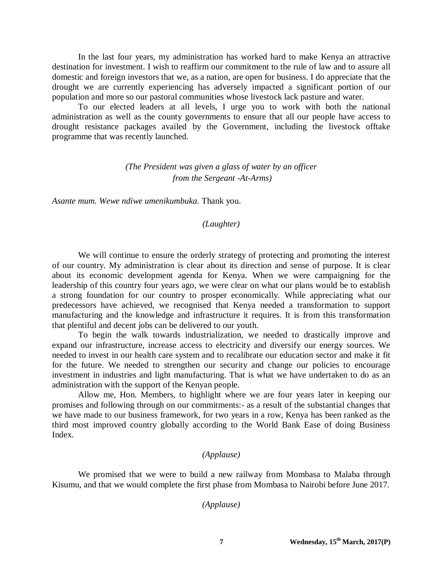In the last four years, my administration has worked hard to make Kenya an attractive destination for investment. I wish to reaffirm our commitment to the rule of law and to assure all domestic and foreign investors that we, as a nation, are open for business. I do appreciate that the drought we are currently experiencing has adversely impacted a significant portion of our population and more so our pastoral communities whose livestock lack pasture and water.

To our elected leaders at all levels, I urge you to work with both the national administration as well as the county governments to ensure that all our people have access to drought resistance packages availed by the Government, including the livestock offtake programme that was recently launched.

> *(The President was given a glass of water by an officer from the Sergeant -At-Arms)*

*Asante mum. Wewe ndiwe umenikumbuka.* Thank you.

## *(Laughter)*

We will continue to ensure the orderly strategy of protecting and promoting the interest of our country. My administration is clear about its direction and sense of purpose. It is clear about its economic development agenda for Kenya. When we were campaigning for the leadership of this country four years ago, we were clear on what our plans would be to establish a strong foundation for our country to prosper economically. While appreciating what our predecessors have achieved, we recognised that Kenya needed a transformation to support manufacturing and the knowledge and infrastructure it requires. It is from this transformation that plentiful and decent jobs can be delivered to our youth.

To begin the walk towards industrialization, we needed to drastically improve and expand our infrastructure, increase access to electricity and diversify our energy sources. We needed to invest in our health care system and to recalibrate our education sector and make it fit for the future. We needed to strengthen our security and change our policies to encourage investment in industries and light manufacturing. That is what we have undertaken to do as an administration with the support of the Kenyan people.

Allow me, Hon. Members, to highlight where we are four years later in keeping our promises and following through on our commitments:- as a result of the substantial changes that we have made to our business framework, for two years in a row, Kenya has been ranked as the third most improved country globally according to the World Bank Ease of doing Business Index.

## *(Applause)*

We promised that we were to build a new railway from Mombasa to Malaba through Kisumu, and that we would complete the first phase from Mombasa to Nairobi before June 2017.

# *(Applause)*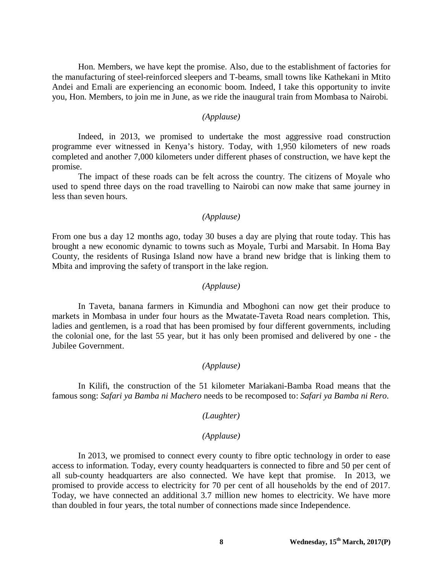Hon. Members, we have kept the promise. Also, due to the establishment of factories for the manufacturing of steel-reinforced sleepers and T-beams, small towns like Kathekani in Mtito Andei and Emali are experiencing an economic boom. Indeed, I take this opportunity to invite you, Hon. Members, to join me in June, as we ride the inaugural train from Mombasa to Nairobi.

#### *(Applause)*

Indeed, in 2013, we promised to undertake the most aggressive road construction programme ever witnessed in Kenya's history. Today, with 1,950 kilometers of new roads completed and another 7,000 kilometers under different phases of construction, we have kept the promise.

The impact of these roads can be felt across the country. The citizens of Moyale who used to spend three days on the road travelling to Nairobi can now make that same journey in less than seven hours.

## *(Applause)*

From one bus a day 12 months ago, today 30 buses a day are plying that route today. This has brought a new economic dynamic to towns such as Moyale, Turbi and Marsabit. In Homa Bay County, the residents of Rusinga Island now have a brand new bridge that is linking them to Mbita and improving the safety of transport in the lake region.

## *(Applause)*

In Taveta, banana farmers in Kimundia and Mboghoni can now get their produce to markets in Mombasa in under four hours as the Mwatate-Taveta Road nears completion. This, ladies and gentlemen, is a road that has been promised by four different governments, including the colonial one, for the last 55 year, but it has only been promised and delivered by one - the Jubilee Government.

## *(Applause)*

In Kilifi, the construction of the 51 kilometer Mariakani-Bamba Road means that the famous song: *Safari ya Bamba ni Machero* needs to be recomposed to: *Safari ya Bamba ni Rero*.

#### *(Laughter)*

## *(Applause)*

In 2013, we promised to connect every county to fibre optic technology in order to ease access to information. Today, every county headquarters is connected to fibre and 50 per cent of all sub-county headquarters are also connected. We have kept that promise. In 2013, we promised to provide access to electricity for 70 per cent of all households by the end of 2017. Today, we have connected an additional 3.7 million new homes to electricity. We have more than doubled in four years, the total number of connections made since Independence.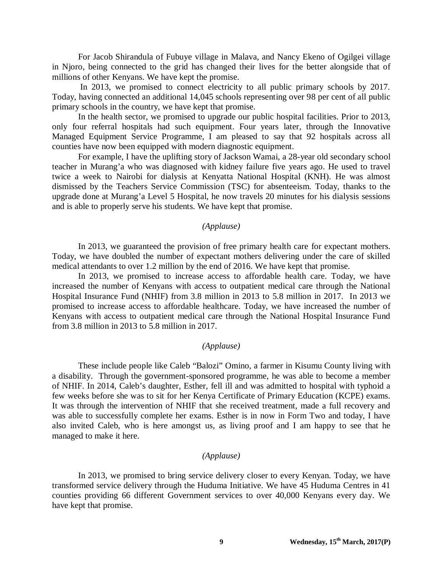For Jacob Shirandula of Fubuye village in Malava, and Nancy Ekeno of Ogilgei village in Njoro, being connected to the grid has changed their lives for the better alongside that of millions of other Kenyans. We have kept the promise.

In 2013, we promised to connect electricity to all public primary schools by 2017. Today, having connected an additional 14,045 schools representing over 98 per cent of all public primary schools in the country, we have kept that promise.

In the health sector, we promised to upgrade our public hospital facilities. Prior to 2013, only four referral hospitals had such equipment. Four years later, through the Innovative Managed Equipment Service Programme, I am pleased to say that 92 hospitals across all counties have now been equipped with modern diagnostic equipment.

For example, I have the uplifting story of Jackson Wamai, a 28-year old secondary school teacher in Murang'a who was diagnosed with kidney failure five years ago. He used to travel twice a week to Nairobi for dialysis at Kenyatta National Hospital (KNH). He was almost dismissed by the Teachers Service Commission (TSC) for absenteeism. Today, thanks to the upgrade done at Murang'a Level 5 Hospital, he now travels 20 minutes for his dialysis sessions and is able to properly serve his students. We have kept that promise.

# *(Applause)*

In 2013, we guaranteed the provision of free primary health care for expectant mothers. Today, we have doubled the number of expectant mothers delivering under the care of skilled medical attendants to over 1.2 million by the end of 2016. We have kept that promise.

In 2013, we promised to increase access to affordable health care. Today, we have increased the number of Kenyans with access to outpatient medical care through the National Hospital Insurance Fund (NHIF) from 3.8 million in 2013 to 5.8 million in 2017. In 2013 we promised to increase access to affordable healthcare. Today, we have increased the number of Kenyans with access to outpatient medical care through the National Hospital Insurance Fund from 3.8 million in 2013 to 5.8 million in 2017.

# *(Applause)*

These include people like Caleb "Balozi" Omino, a farmer in Kisumu County living with a disability. Through the government-sponsored programme, he was able to become a member of NHIF. In 2014, Caleb's daughter, Esther, fell ill and was admitted to hospital with typhoid a few weeks before she was to sit for her Kenya Certificate of Primary Education (KCPE) exams. It was through the intervention of NHIF that she received treatment, made a full recovery and was able to successfully complete her exams. Esther is in now in Form Two and today, I have also invited Caleb, who is here amongst us, as living proof and I am happy to see that he managed to make it here.

#### *(Applause)*

In 2013, we promised to bring service delivery closer to every Kenyan. Today, we have transformed service delivery through the Huduma Initiative. We have 45 Huduma Centres in 41 counties providing 66 different Government services to over 40,000 Kenyans every day. We have kept that promise.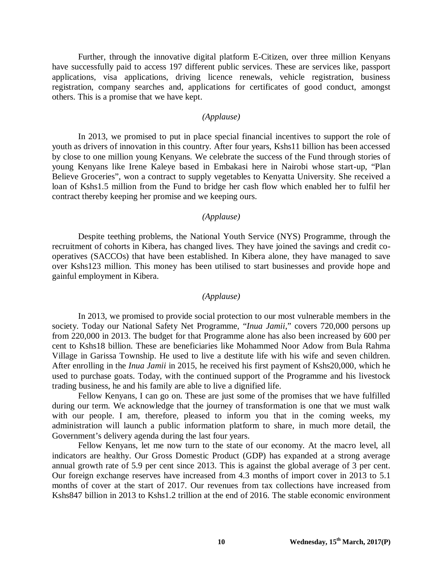Further, through the innovative digital platform E-Citizen, over three million Kenyans have successfully paid to access 197 different public services. These are services like, passport applications, visa applications, driving licence renewals, vehicle registration, business registration, company searches and, applications for certificates of good conduct, amongst others. This is a promise that we have kept.

## *(Applause)*

In 2013, we promised to put in place special financial incentives to support the role of youth as drivers of innovation in this country. After four years, Kshs11 billion has been accessed by close to one million young Kenyans. We celebrate the success of the Fund through stories of young Kenyans like Irene Kaleye based in Embakasi here in Nairobi whose start-up, "Plan Believe Groceries", won a contract to supply vegetables to Kenyatta University. She received a loan of Kshs1.5 million from the Fund to bridge her cash flow which enabled her to fulfil her contract thereby keeping her promise and we keeping ours.

# *(Applause)*

Despite teething problems, the National Youth Service (NYS) Programme, through the recruitment of cohorts in Kibera, has changed lives. They have joined the savings and credit cooperatives (SACCOs) that have been established. In Kibera alone, they have managed to save over Kshs123 million. This money has been utilised to start businesses and provide hope and gainful employment in Kibera.

### *(Applause)*

In 2013, we promised to provide social protection to our most vulnerable members in the society. Today our National Safety Net Programme, "*Inua Jamii*," covers 720,000 persons up from 220,000 in 2013. The budget for that Programme alone has also been increased by 600 per cent to Kshs18 billion. These are beneficiaries like Mohammed Noor Adow from Bula Rahma Village in Garissa Township. He used to live a destitute life with his wife and seven children. After enrolling in the *Inua Jamii* in 2015, he received his first payment of Kshs20,000, which he used to purchase goats. Today, with the continued support of the Programme and his livestock trading business, he and his family are able to live a dignified life.

Fellow Kenyans, I can go on. These are just some of the promises that we have fulfilled during our term. We acknowledge that the journey of transformation is one that we must walk with our people. I am, therefore, pleased to inform you that in the coming weeks, my administration will launch a public information platform to share, in much more detail, the Government's delivery agenda during the last four years.

Fellow Kenyans, let me now turn to the state of our economy. At the macro level, all indicators are healthy. Our Gross Domestic Product (GDP) has expanded at a strong average annual growth rate of 5.9 per cent since 2013. This is against the global average of 3 per cent. Our foreign exchange reserves have increased from 4.3 months of import cover in 2013 to 5.1 months of cover at the start of 2017. Our revenues from tax collections have increased from Kshs847 billion in 2013 to Kshs1.2 trillion at the end of 2016. The stable economic environment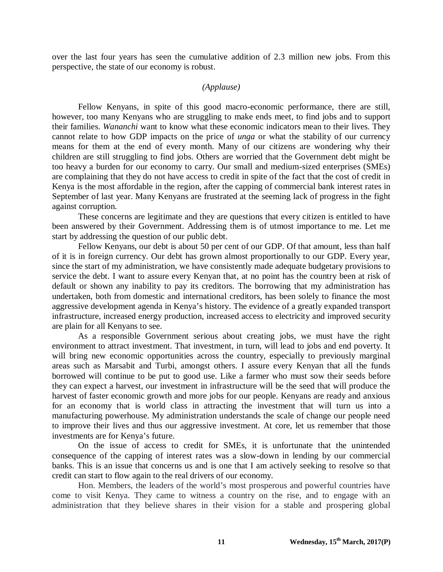over the last four years has seen the cumulative addition of 2.3 million new jobs. From this perspective, the state of our economy is robust.

#### *(Applause)*

Fellow Kenyans, in spite of this good macro-economic performance, there are still, however, too many Kenyans who are struggling to make ends meet, to find jobs and to support their families. *Wananchi* want to know what these economic indicators mean to their lives. They cannot relate to how GDP impacts on the price of *unga* or what the stability of our currency means for them at the end of every month. Many of our citizens are wondering why their children are still struggling to find jobs. Others are worried that the Government debt might be too heavy a burden for our economy to carry. Our small and medium-sized enterprises (SMEs) are complaining that they do not have access to credit in spite of the fact that the cost of credit in Kenya is the most affordable in the region, after the capping of commercial bank interest rates in September of last year. Many Kenyans are frustrated at the seeming lack of progress in the fight against corruption.

These concerns are legitimate and they are questions that every citizen is entitled to have been answered by their Government. Addressing them is of utmost importance to me. Let me start by addressing the question of our public debt.

Fellow Kenyans, our debt is about 50 per cent of our GDP. Of that amount, less than half of it is in foreign currency. Our debt has grown almost proportionally to our GDP. Every year, since the start of my administration, we have consistently made adequate budgetary provisions to service the debt. I want to assure every Kenyan that, at no point has the country been at risk of default or shown any inability to pay its creditors. The borrowing that my administration has undertaken, both from domestic and international creditors, has been solely to finance the most aggressive development agenda in Kenya's history. The evidence of a greatly expanded transport infrastructure, increased energy production, increased access to electricity and improved security are plain for all Kenyans to see.

As a responsible Government serious about creating jobs, we must have the right environment to attract investment. That investment, in turn, will lead to jobs and end poverty. It will bring new economic opportunities across the country, especially to previously marginal areas such as Marsabit and Turbi, amongst others. I assure every Kenyan that all the funds borrowed will continue to be put to good use. Like a farmer who must sow their seeds before they can expect a harvest, our investment in infrastructure will be the seed that will produce the harvest of faster economic growth and more jobs for our people. Kenyans are ready and anxious for an economy that is world class in attracting the investment that will turn us into a manufacturing powerhouse. My administration understands the scale of change our people need to improve their lives and thus our aggressive investment. At core, let us remember that those investments are for Kenya's future.

On the issue of access to credit for SMEs, it is unfortunate that the unintended consequence of the capping of interest rates was a slow-down in lending by our commercial banks. This is an issue that concerns us and is one that I am actively seeking to resolve so that credit can start to flow again to the real drivers of our economy.

Hon. Members, the leaders of the world's most prosperous and powerful countries have come to visit Kenya. They came to witness a country on the rise, and to engage with an administration that they believe shares in their vision for a stable and prospering global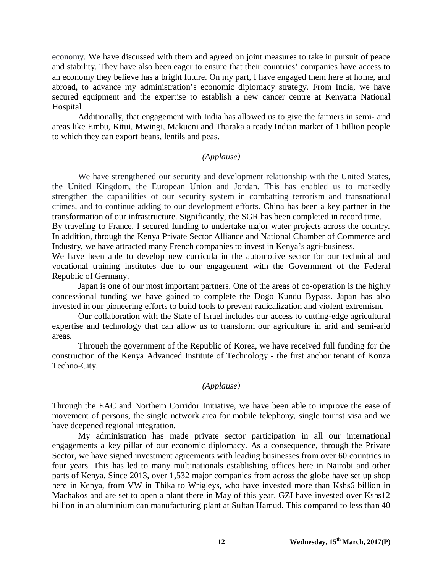economy. We have discussed with them and agreed on joint measures to take in pursuit of peace and stability. They have also been eager to ensure that their countries' companies have access to an economy they believe has a bright future. On my part, I have engaged them here at home, and abroad, to advance my administration's economic diplomacy strategy. From India, we have secured equipment and the expertise to establish a new cancer centre at Kenyatta National Hospital.

Additionally, that engagement with India has allowed us to give the farmers in semi- arid areas like Embu, Kitui, Mwingi, Makueni and Tharaka a ready Indian market of 1 billion people to which they can export beans, lentils and peas.

## *(Applause)*

We have strengthened our security and development relationship with the United States, the United Kingdom, the European Union and Jordan. This has enabled us to markedly strengthen the capabilities of our security system in combatting terrorism and transnational crimes, and to continue adding to our development efforts. China has been a key partner in the transformation of our infrastructure. Significantly, the SGR has been completed in record time.

By traveling to France, I secured funding to undertake major water projects across the country. In addition, through the Kenya Private Sector Alliance and National Chamber of Commerce and Industry, we have attracted many French companies to invest in Kenya's agri-business.

We have been able to develop new curricula in the automotive sector for our technical and vocational training institutes due to our engagement with the Government of the Federal Republic of Germany.

Japan is one of our most important partners. One of the areas of co-operation is the highly concessional funding we have gained to complete the Dogo Kundu Bypass. Japan has also invested in our pioneering efforts to build tools to prevent radicalization and violent extremism.

Our collaboration with the State of Israel includes our access to cutting-edge agricultural expertise and technology that can allow us to transform our agriculture in arid and semi-arid areas.

Through the government of the Republic of Korea, we have received full funding for the construction of the Kenya Advanced Institute of Technology - the first anchor tenant of Konza Techno-City.

# *(Applause)*

Through the EAC and Northern Corridor Initiative, we have been able to improve the ease of movement of persons, the single network area for mobile telephony, single tourist visa and we have deepened regional integration.

My administration has made private sector participation in all our international engagements a key pillar of our economic diplomacy. As a consequence, through the Private Sector, we have signed investment agreements with leading businesses from over 60 countries in four years. This has led to many multinationals establishing offices here in Nairobi and other parts of Kenya. Since 2013, over 1,532 major companies from across the globe have set up shop here in Kenya, from VW in Thika to Wrigleys, who have invested more than Kshs6 billion in Machakos and are set to open a plant there in May of this year. GZI have invested over Kshs12 billion in an aluminium can manufacturing plant at Sultan Hamud. This compared to less than 40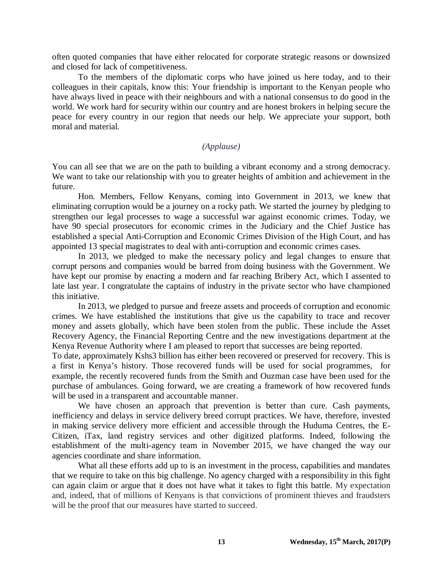often quoted companies that have either relocated for corporate strategic reasons or downsized and closed for lack of competitiveness.

To the members of the diplomatic corps who have joined us here today, and to their colleagues in their capitals, know this: Your friendship is important to the Kenyan people who have always lived in peace with their neighbours and with a national consensus to do good in the world. We work hard for security within our country and are honest brokers in helping secure the peace for every country in our region that needs our help. We appreciate your support, both moral and material.

# *(Applause)*

You can all see that we are on the path to building a vibrant economy and a strong democracy. We want to take our relationship with you to greater heights of ambition and achievement in the future.

Hon. Members, Fellow Kenyans, coming into Government in 2013, we knew that eliminating corruption would be a journey on a rocky path. We started the journey by pledging to strengthen our legal processes to wage a successful war against economic crimes. Today, we have 90 special prosecutors for economic crimes in the Judiciary and the Chief Justice has established a special Anti-Corruption and Economic Crimes Division of the High Court, and has appointed 13 special magistrates to deal with anti-corruption and economic crimes cases.

In 2013, we pledged to make the necessary policy and legal changes to ensure that corrupt persons and companies would be barred from doing business with the Government. We have kept our promise by enacting a modern and far reaching Bribery Act, which I assented to late last year. I congratulate the captains of industry in the private sector who have championed this initiative.

In 2013, we pledged to pursue and freeze assets and proceeds of corruption and economic crimes. We have established the institutions that give us the capability to trace and recover money and assets globally, which have been stolen from the public. These include the Asset Recovery Agency, the Financial Reporting Centre and the new investigations department at the Kenya Revenue Authority where I am pleased to report that successes are being reported.

To date, approximately Kshs3 billion has either been recovered or preserved for recovery. This is a first in Kenya's history. Those recovered funds will be used for social programmes, for example, the recently recovered funds from the Smith and Ouzman case have been used for the purchase of ambulances. Going forward, we are creating a framework of how recovered funds will be used in a transparent and accountable manner.

We have chosen an approach that prevention is better than cure. Cash payments, inefficiency and delays in service delivery breed corrupt practices. We have, therefore, invested in making service delivery more efficient and accessible through the Huduma Centres, the E-Citizen, iTax, land registry services and other digitized platforms. Indeed, following the establishment of the multi-agency team in November 2015, we have changed the way our agencies coordinate and share information.

What all these efforts add up to is an investment in the process, capabilities and mandates that we require to take on this big challenge. No agency charged with a responsibility in this fight can again claim or argue that it does not have what it takes to fight this battle. My expectation and, indeed, that of millions of Kenyans is that convictions of prominent thieves and fraudsters will be the proof that our measures have started to succeed.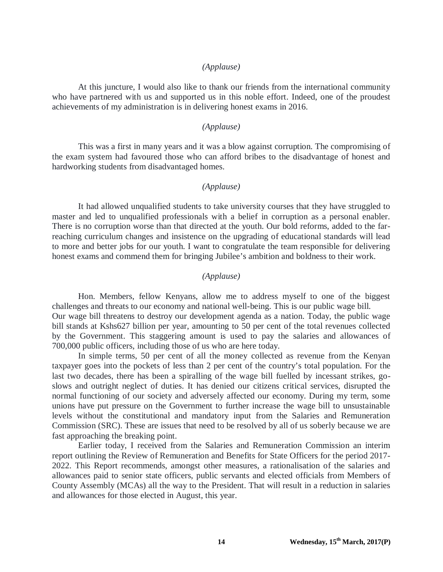## *(Applause)*

At this juncture, I would also like to thank our friends from the international community who have partnered with us and supported us in this noble effort. Indeed, one of the proudest achievements of my administration is in delivering honest exams in 2016.

# *(Applause)*

This was a first in many years and it was a blow against corruption. The compromising of the exam system had favoured those who can afford bribes to the disadvantage of honest and hardworking students from disadvantaged homes.

## *(Applause)*

It had allowed unqualified students to take university courses that they have struggled to master and led to unqualified professionals with a belief in corruption as a personal enabler. There is no corruption worse than that directed at the youth. Our bold reforms, added to the farreaching curriculum changes and insistence on the upgrading of educational standards will lead to more and better jobs for our youth. I want to congratulate the team responsible for delivering honest exams and commend them for bringing Jubilee's ambition and boldness to their work.

#### *(Applause)*

Hon. Members, fellow Kenyans, allow me to address myself to one of the biggest challenges and threats to our economy and national well-being. This is our public wage bill. Our wage bill threatens to destroy our development agenda as a nation. Today, the public wage bill stands at Kshs627 billion per year, amounting to 50 per cent of the total revenues collected by the Government. This staggering amount is used to pay the salaries and allowances of 700,000 public officers, including those of us who are here today.

In simple terms, 50 per cent of all the money collected as revenue from the Kenyan taxpayer goes into the pockets of less than 2 per cent of the country's total population. For the last two decades, there has been a spiralling of the wage bill fuelled by incessant strikes, goslows and outright neglect of duties. It has denied our citizens critical services, disrupted the normal functioning of our society and adversely affected our economy. During my term, some unions have put pressure on the Government to further increase the wage bill to unsustainable levels without the constitutional and mandatory input from the Salaries and Remuneration Commission (SRC). These are issues that need to be resolved by all of us soberly because we are fast approaching the breaking point.

Earlier today, I received from the Salaries and Remuneration Commission an interim report outlining the Review of Remuneration and Benefits for State Officers for the period 2017- 2022. This Report recommends, amongst other measures, a rationalisation of the salaries and allowances paid to senior state officers, public servants and elected officials from Members of County Assembly (MCAs) all the way to the President. That will result in a reduction in salaries and allowances for those elected in August, this year.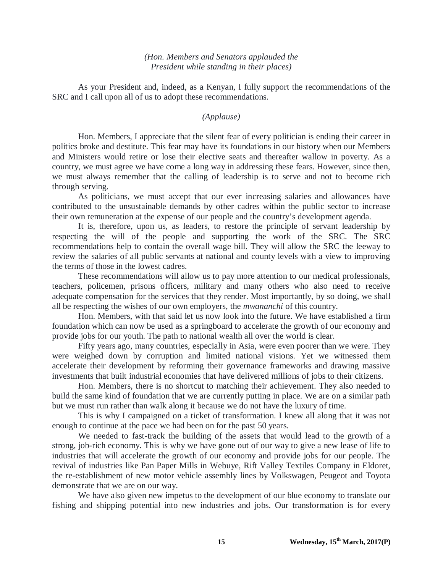# *(Hon. Members and Senators applauded the President while standing in their places)*

As your President and, indeed, as a Kenyan, I fully support the recommendations of the SRC and I call upon all of us to adopt these recommendations.

# *(Applause)*

Hon. Members, I appreciate that the silent fear of every politician is ending their career in politics broke and destitute. This fear may have its foundations in our history when our Members and Ministers would retire or lose their elective seats and thereafter wallow in poverty. As a country, we must agree we have come a long way in addressing these fears. However, since then, we must always remember that the calling of leadership is to serve and not to become rich through serving.

As politicians, we must accept that our ever increasing salaries and allowances have contributed to the unsustainable demands by other cadres within the public sector to increase their own remuneration at the expense of our people and the country's development agenda.

It is, therefore, upon us, as leaders, to restore the principle of servant leadership by respecting the will of the people and supporting the work of the SRC. The SRC recommendations help to contain the overall wage bill. They will allow the SRC the leeway to review the salaries of all public servants at national and county levels with a view to improving the terms of those in the lowest cadres.

These recommendations will allow us to pay more attention to our medical professionals, teachers, policemen, prisons officers, military and many others who also need to receive adequate compensation for the services that they render. Most importantly, by so doing, we shall all be respecting the wishes of our own employers, the *mwananchi* of this country.

Hon. Members, with that said let us now look into the future. We have established a firm foundation which can now be used as a springboard to accelerate the growth of our economy and provide jobs for our youth. The path to national wealth all over the world is clear.

Fifty years ago, many countries, especially in Asia, were even poorer than we were. They were weighed down by corruption and limited national visions. Yet we witnessed them accelerate their development by reforming their governance frameworks and drawing massive investments that built industrial economies that have delivered millions of jobs to their citizens.

Hon. Members, there is no shortcut to matching their achievement. They also needed to build the same kind of foundation that we are currently putting in place. We are on a similar path but we must run rather than walk along it because we do not have the luxury of time.

This is why I campaigned on a ticket of transformation. I knew all along that it was not enough to continue at the pace we had been on for the past 50 years.

We needed to fast-track the building of the assets that would lead to the growth of a strong, job-rich economy. This is why we have gone out of our way to give a new lease of life to industries that will accelerate the growth of our economy and provide jobs for our people. The revival of industries like Pan Paper Mills in Webuye, Rift Valley Textiles Company in Eldoret, the re-establishment of new motor vehicle assembly lines by Volkswagen, Peugeot and Toyota demonstrate that we are on our way.

We have also given new impetus to the development of our blue economy to translate our fishing and shipping potential into new industries and jobs. Our transformation is for every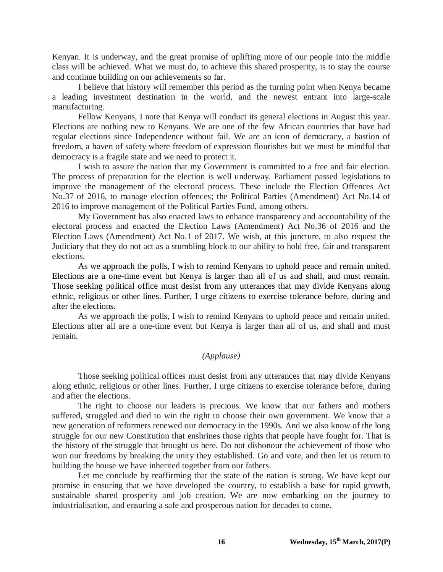Kenyan. It is underway, and the great promise of uplifting more of our people into the middle class will be achieved. What we must do, to achieve this shared prosperity, is to stay the course and continue building on our achievements so far.

I believe that history will remember this period as the turning point when Kenya became a leading investment destination in the world, and the newest entrant into large-scale manufacturing.

Fellow Kenyans, I note that Kenya will conduct its general elections in August this year. Elections are nothing new to Kenyans. We are one of the few African countries that have had regular elections since Independence without fail. We are an icon of democracy, a bastion of freedom, a haven of safety where freedom of expression flourishes but we must be mindful that democracy is a fragile state and we need to protect it.

I wish to assure the nation that my Government is committed to a free and fair election. The process of preparation for the election is well underway. Parliament passed legislations to improve the management of the electoral process. These include the Election Offences Act No.37 of 2016, to manage election offences; the Political Parties (Amendment) Act No.14 of 2016 to improve management of the Political Parties Fund, among others.

My Government has also enacted laws to enhance transparency and accountability of the electoral process and enacted the Election Laws (Amendment) Act No.36 of 2016 and the Election Laws (Amendment) Act No.1 of 2017. We wish, at this juncture, to also request the Judiciary that they do not act as a stumbling block to our ability to hold free, fair and transparent elections.

As we approach the polls, I wish to remind Kenyans to uphold peace and remain united. Elections are a one-time event but Kenya is larger than all of us and shall, and must remain. Those seeking political office must desist from any utterances that may divide Kenyans along ethnic, religious or other lines. Further, I urge citizens to exercise tolerance before, during and after the elections.

As we approach the polls, I wish to remind Kenyans to uphold peace and remain united. Elections after all are a one-time event but Kenya is larger than all of us, and shall and must remain.

# *(Applause)*

Those seeking political offices must desist from any utterances that may divide Kenyans along ethnic, religious or other lines. Further, I urge citizens to exercise tolerance before, during and after the elections.

The right to choose our leaders is precious. We know that our fathers and mothers suffered, struggled and died to win the right to choose their own government. We know that a new generation of reformers renewed our democracy in the 1990s. And we also know of the long struggle for our new Constitution that enshrines those rights that people have fought for. That is the history of the struggle that brought us here. Do not dishonour the achievement of those who won our freedoms by breaking the unity they established. Go and vote, and then let us return to building the house we have inherited together from our fathers.

Let me conclude by reaffirming that the state of the nation is strong. We have kept our promise in ensuring that we have developed the country, to establish a base for rapid growth, sustainable shared prosperity and job creation. We are now embarking on the journey to industrialisation, and ensuring a safe and prosperous nation for decades to come.